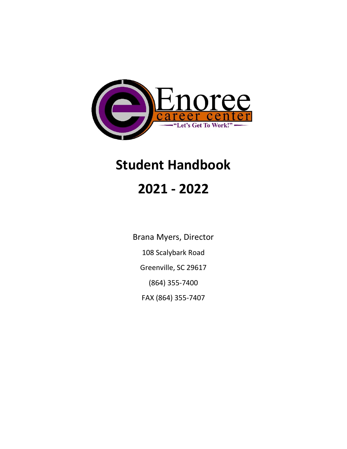

# **Student Handbook**

# **2021 - 2022**

Brana Myers, Director 108 Scalybark Road Greenville, SC 29617 (864) 355-7400 FAX (864) 355-7407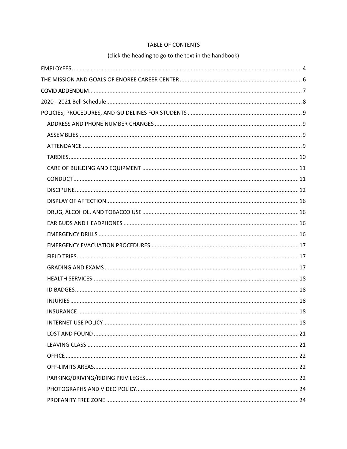# TABLE OF CONTENTS

# (click the heading to go to the text in the handbook)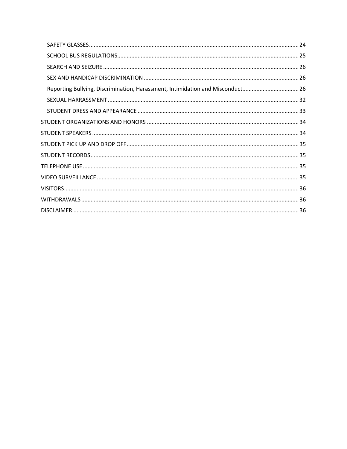| Reporting Bullying, Discrimination, Harassment, Intimidation and Misconduct26 |  |
|-------------------------------------------------------------------------------|--|
|                                                                               |  |
|                                                                               |  |
|                                                                               |  |
|                                                                               |  |
|                                                                               |  |
|                                                                               |  |
|                                                                               |  |
|                                                                               |  |
|                                                                               |  |
|                                                                               |  |
|                                                                               |  |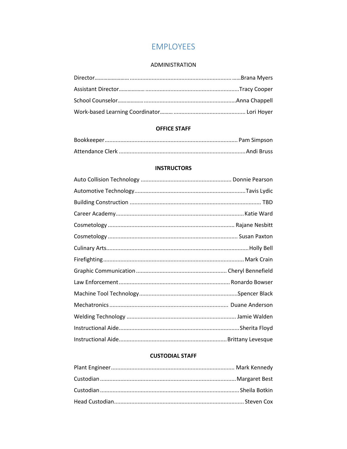# **EMPLOYEES**

#### **ADMINISTRATION**

<span id="page-3-0"></span>

# **OFFICE STAFF**

#### **INSTRUCTORS**

# **CUSTODIAL STAFF**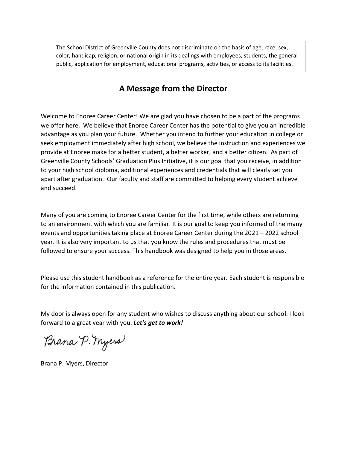The School District of Greenville County does not discriminate on the basis of age, race, sex, color, handicap, religion, or national origin in its dealings with employees, students, the general public, application for employment, educational programs, activities, or access to its facilities.

# **A Message from the Director**

Welcome to Enoree Career Center! We are glad you have chosen to be a part of the programs we offer here. We believe that Enoree Career Center has the potential to give you an incredible advantage as you plan your future. Whether you intend to further your education in college or seek employment immediately after high school, we believe the instruction and experiences we provide at Enoree make for a better student, a better worker, and a better citizen. As part of Greenville County Schools' Graduation Plus Initiative, it is our goal that you receive, in addition to your high school diploma, additional experiences and credentials that will clearly set you apart after graduation. Our faculty and staff are committed to helping every student achieve and succeed.

Many of you are coming to Enoree Career Center for the first time, while others are returning to an environment with which you are familiar. It is our goal to keep you informed of the many events and opportunities taking place at Enoree Career Center during the 2021 – 2022 school year. It is also very important to us that you know the rules and procedures that must be followed to ensure your success. This handbook was designed to help you in those areas.

Please use this student handbook as a reference for the entire year. Each student is responsible for the information contained in this publication.

My door is always open for any student who wishes to discuss anything about our school. I look forward to a great year with you. *Let's get to work!*

Brana P. Myers

Brana P. Myers, Director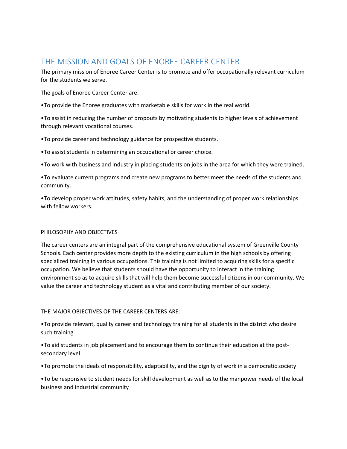# <span id="page-5-0"></span>THE MISSION AND GOALS OF ENOREE CAREER CENTER

The primary mission of Enoree Career Center is to promote and offer occupationally relevant curriculum for the students we serve.

The goals of Enoree Career Center are:

•To provide the Enoree graduates with marketable skills for work in the real world.

•To assist in reducing the number of dropouts by motivating students to higher levels of achievement through relevant vocational courses.

•To provide career and technology guidance for prospective students.

•To assist students in determining an occupational or career choice.

•To work with business and industry in placing students on jobs in the area for which they were trained.

•To evaluate current programs and create new programs to better meet the needs of the students and community.

•To develop proper work attitudes, safety habits, and the understanding of proper work relationships with fellow workers.

# PHILOSOPHY AND OBJECTIVES

The career centers are an integral part of the comprehensive educational system of Greenville County Schools. Each center provides more depth to the existing curriculum in the high schools by offering specialized training in various occupations. This training is not limited to acquiring skills for a specific occupation. We believe that students should have the opportunity to interact in the training environment so as to acquire skills that will help them become successful citizens in our community. We value the career and technology student as a vital and contributing member of our society.

# THE MAJOR OBJECTIVES OF THE CAREER CENTERS ARE:

•To provide relevant, quality career and technology training for all students in the district who desire such training

•To aid students in job placement and to encourage them to continue their education at the postsecondary level

•To promote the ideals of responsibility, adaptability, and the dignity of work in a democratic society

•To be responsive to student needs for skill development as well as to the manpower needs of the local business and industrial community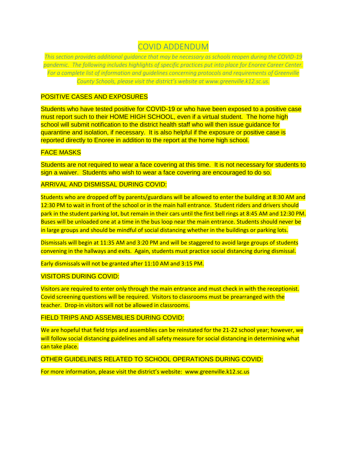# COVID ADDENDUM

<span id="page-6-0"></span>*This section provides additional guidance that may be necessary as schools reopen during the COVID-19 pandemic. The following includes highlights of specific practices put into place for Enoree Career Center. For a complete list of information and guidelines concerning protocols and requirements of Greenville County Schools, please visit the district's website at www.greenville.k12.sc.us.* 

# POSITIVE CASES AND EXPOSURES

Students who have tested positive for COVID-19 or who have been exposed to a positive case must report such to their HOME HIGH SCHOOL, even if a virtual student. The home high school will submit notification to the district health staff who will then issue guidance for quarantine and isolation, if necessary. It is also helpful if the exposure or positive case is reported directly to Enoree in addition to the report at the home high school.

#### FACE MASKS

Students are not required to wear a face covering at this time. It is not necessary for students to sign a waiver. Students who wish to wear a face covering are encouraged to do so.

ARRIVAL AND DISMISSAL DURING COVID:

Students who are dropped off by parents/guardians will be allowed to enter the building at 8:30 AM and 12:30 PM to wait in front of the school or in the main hall entrance. Student riders and drivers should park in the student parking lot, but remain in their cars until the first bell rings at 8:45 AM and 12:30 PM. Buses will be unloaded one at a time in the bus loop near the main entrance. Students should never be in large groups and should be mindful of social distancing whether in the buildings or parking lots.

Dismissals will begin at 11:35 AM and 3:20 PM and will be staggered to avoid large groups of students convening in the hallways and exits. Again, students must practice social distancing during dismissal.

Early dismissals will not be granted after 11:10 AM and 3:15 PM.

#### VISITORS DURING COVID:

Visitors are required to enter only through the main entrance and must check in with the receptionist. Covid screening questions will be required. Visitors to classrooms must be prearranged with the teacher. Drop-in visitors will not be allowed in classrooms.

#### FIELD TRIPS AND ASSEMBLIES DURING COVID:

We are hopeful that field trips and assemblies can be reinstated for the 21-22 school year; however, we will follow social distancing guidelines and all safety measure for social distancing in determining what can take place.

OTHER GUIDELINES RELATED TO SCHOOL OPERATIONS DURING COVID:

<span id="page-6-1"></span>For more information, please visit the district's website: www.greenville.k12.sc.us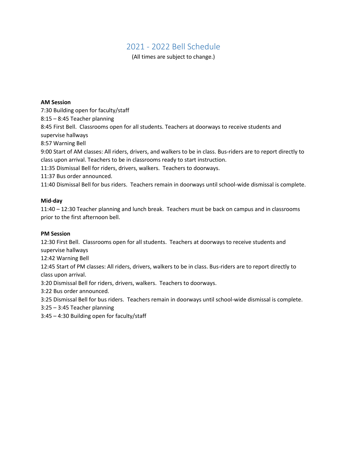# 2021 - 2022 Bell Schedule

(All times are subject to change.)

#### **AM Session**

7:30 Building open for faculty/staff 8:15 – 8:45 Teacher planning 8:45 First Bell. Classrooms open for all students. Teachers at doorways to receive students and supervise hallways 8:57 Warning Bell 9:00 Start of AM classes: All riders, drivers, and walkers to be in class. Bus-riders are to report directly to class upon arrival. Teachers to be in classrooms ready to start instruction. 11:35 Dismissal Bell for riders, drivers, walkers. Teachers to doorways. 11:37 Bus order announced. 11:40 Dismissal Bell for bus riders. Teachers remain in doorways until school-wide dismissal is complete.

#### **Mid-day**

11:40 – 12:30 Teacher planning and lunch break. Teachers must be back on campus and in classrooms prior to the first afternoon bell.

#### **PM Session**

12:30 First Bell. Classrooms open for all students. Teachers at doorways to receive students and supervise hallways

12:42 Warning Bell

12:45 Start of PM classes: All riders, drivers, walkers to be in class. Bus-riders are to report directly to class upon arrival.

3:20 Dismissal Bell for riders, drivers, walkers. Teachers to doorways.

3:22 Bus order announced.

3:25 Dismissal Bell for bus riders. Teachers remain in doorways until school-wide dismissal is complete.

3:25 – 3:45 Teacher planning

3:45 – 4:30 Building open for faculty/staff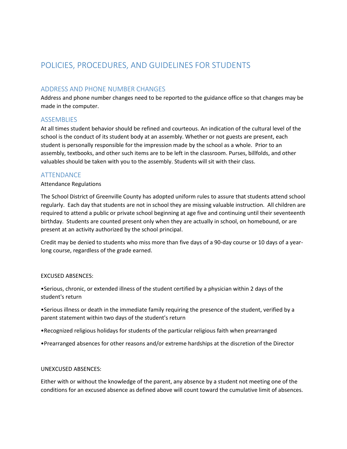# <span id="page-8-0"></span>POLICIES, PROCEDURES, AND GUIDELINES FOR STUDENTS

# <span id="page-8-1"></span>ADDRESS AND PHONE NUMBER CHANGES

Address and phone number changes need to be reported to the guidance office so that changes may be made in the computer.

# <span id="page-8-2"></span>**ASSEMBLIES**

At all times student behavior should be refined and courteous. An indication of the cultural level of the school is the conduct of its student body at an assembly. Whether or not guests are present, each student is personally responsible for the impression made by the school as a whole. Prior to an assembly, textbooks, and other such items are to be left in the classroom. Purses, billfolds, and other valuables should be taken with you to the assembly. Students will sit with their class.

#### <span id="page-8-3"></span>ATTENDANCE

#### Attendance Regulations

The School District of Greenville County has adopted uniform rules to assure that students attend school regularly. Each day that students are not in school they are missing valuable instruction. All children are required to attend a public or private school beginning at age five and continuing until their seventeenth birthday. Students are counted present only when they are actually in school, on homebound, or are present at an activity authorized by the school principal.

Credit may be denied to students who miss more than five days of a 90-day course or 10 days of a yearlong course, regardless of the grade earned.

#### EXCUSED ABSENCES:

•Serious, chronic, or extended illness of the student certified by a physician within 2 days of the student's return

•Serious illness or death in the immediate family requiring the presence of the student, verified by a parent statement within two days of the student's return

- •Recognized religious holidays for students of the particular religious faith when prearranged
- •Prearranged absences for other reasons and/or extreme hardships at the discretion of the Director

#### UNEXCUSED ABSENCES:

Either with or without the knowledge of the parent, any absence by a student not meeting one of the conditions for an excused absence as defined above will count toward the cumulative limit of absences.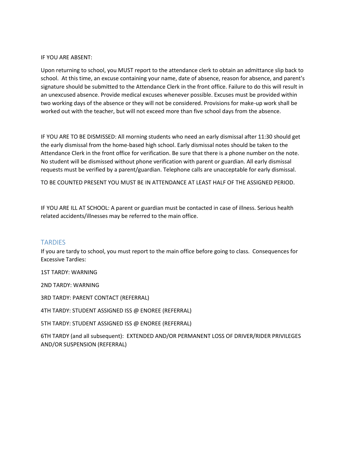#### IF YOU ARE ABSENT:

Upon returning to school, you MUST report to the attendance clerk to obtain an admittance slip back to school. At this time, an excuse containing your name, date of absence, reason for absence, and parent's signature should be submitted to the Attendance Clerk in the front office. Failure to do this will result in an unexcused absence. Provide medical excuses whenever possible. Excuses must be provided within two working days of the absence or they will not be considered. Provisions for make-up work shall be worked out with the teacher, but will not exceed more than five school days from the absence.

IF YOU ARE TO BE DISMISSED: All morning students who need an early dismissal after 11:30 should get the early dismissal from the home-based high school. Early dismissal notes should be taken to the Attendance Clerk in the front office for verification. Be sure that there is a phone number on the note. No student will be dismissed without phone verification with parent or guardian. All early dismissal requests must be verified by a parent/guardian. Telephone calls are unacceptable for early dismissal.

TO BE COUNTED PRESENT YOU MUST BE IN ATTENDANCE AT LEAST HALF OF THE ASSIGNED PERIOD.

IF YOU ARE ILL AT SCHOOL: A parent or guardian must be contacted in case of illness. Serious health related accidents/illnesses may be referred to the main office.

# <span id="page-9-0"></span>**TARDIES**

If you are tardy to school, you must report to the main office before going to class. Consequences for Excessive Tardies:

1ST TARDY: WARNING

2ND TARDY: WARNING

3RD TARDY: PARENT CONTACT (REFERRAL)

4TH TARDY: STUDENT ASSIGNED ISS @ ENOREE (REFERRAL)

5TH TARDY: STUDENT ASSIGNED ISS @ ENOREE (REFERRAL)

6TH TARDY (and all subsequent): EXTENDED AND/OR PERMANENT LOSS OF DRIVER/RIDER PRIVILEGES AND/OR SUSPENSION (REFERRAL)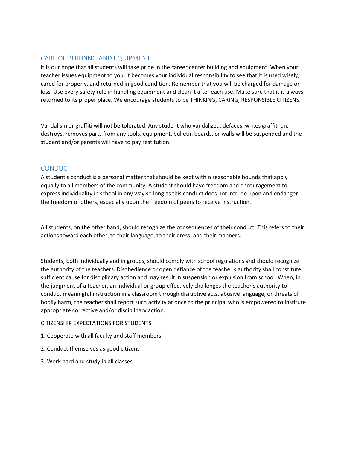# <span id="page-10-0"></span>CARE OF BUILDING AND EQUIPMENT

It is our hope that all students will take pride in the career center building and equipment. When your teacher issues equipment to you, it becomes your individual responsibility to see that it is used wisely, cared for properly, and returned in good condition. Remember that you will be charged for damage or loss. Use every safety rule in handling equipment and clean it after each use. Make sure that it is always returned to its proper place. We encourage students to be THINKING, CARING, RESPONSIBLE CITIZENS.

Vandalism or graffiti will not be tolerated. Any student who vandalized, defaces, writes graffiti on, destroys, removes parts from any tools, equipment, bulletin boards, or walls will be suspended and the student and/or parents will have to pay restitution.

# <span id="page-10-1"></span>**CONDUCT**

A student's conduct is a personal matter that should be kept within reasonable bounds that apply equally to all members of the community. A student should have freedom and encouragement to express individuality in school in any way so long as this conduct does not intrude upon and endanger the freedom of others, especially upon the freedom of peers to receive instruction.

All students, on the other hand, should recognize the consequences of their conduct. This refers to their actions toward each other, to their language, to their dress, and their manners.

Students, both individually and in groups, should comply with school regulations and should recognize the authority of the teachers. Disobedience or open defiance of the teacher's authority shall constitute sufficient cause for disciplinary action and may result in suspension or expulsion from school. When, in the judgment of a teacher, an individual or group effectively challenges the teacher's authority to conduct meaningful instruction in a classroom through disruptive acts, abusive language, or threats of bodily harm, the teacher shall report such activity at once to the principal who is empowered to institute appropriate corrective and/or disciplinary action.

#### CITIZENSHIP EXPECTATIONS FOR STUDENTS

- 1. Cooperate with all faculty and staff members
- 2. Conduct themselves as good citizens
- 3. Work hard and study in all classes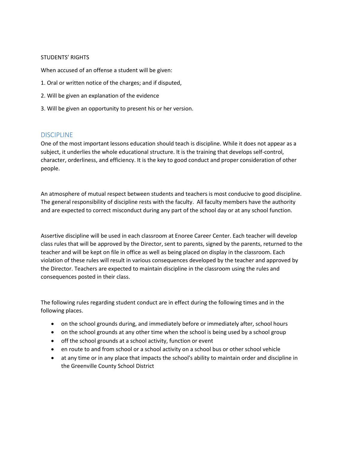#### STUDENTS' RIGHTS

When accused of an offense a student will be given:

- 1. Oral or written notice of the charges; and if disputed,
- 2. Will be given an explanation of the evidence
- 3. Will be given an opportunity to present his or her version.

#### <span id="page-11-0"></span>DISCIPLINE

One of the most important lessons education should teach is discipline. While it does not appear as a subject, it underlies the whole educational structure. It is the training that develops self-control, character, orderliness, and efficiency. It is the key to good conduct and proper consideration of other people.

An atmosphere of mutual respect between students and teachers is most conducive to good discipline. The general responsibility of discipline rests with the faculty. All faculty members have the authority and are expected to correct misconduct during any part of the school day or at any school function.

Assertive discipline will be used in each classroom at Enoree Career Center. Each teacher will develop class rules that will be approved by the Director, sent to parents, signed by the parents, returned to the teacher and will be kept on file in office as well as being placed on display in the classroom. Each violation of these rules will result in various consequences developed by the teacher and approved by the Director. Teachers are expected to maintain discipline in the classroom using the rules and consequences posted in their class.

The following rules regarding student conduct are in effect during the following times and in the following places.

- on the school grounds during, and immediately before or immediately after, school hours
- on the school grounds at any other time when the school is being used by a school group
- off the school grounds at a school activity, function or event
- en route to and from school or a school activity on a school bus or other school vehicle
- at any time or in any place that impacts the school's ability to maintain order and discipline in the Greenville County School District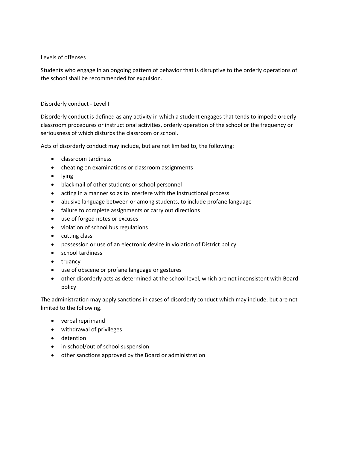#### Levels of offenses

Students who engage in an ongoing pattern of behavior that is disruptive to the orderly operations of the school shall be recommended for expulsion.

#### Disorderly conduct - Level I

Disorderly conduct is defined as any activity in which a student engages that tends to impede orderly classroom procedures or instructional activities, orderly operation of the school or the frequency or seriousness of which disturbs the classroom or school.

Acts of disorderly conduct may include, but are not limited to, the following:

- classroom tardiness
- cheating on examinations or classroom assignments
- lying
- blackmail of other students or school personnel
- acting in a manner so as to interfere with the instructional process
- abusive language between or among students, to include profane language
- failure to complete assignments or carry out directions
- use of forged notes or excuses
- violation of school bus regulations
- cutting class
- possession or use of an electronic device in violation of District policy
- school tardiness
- truancy
- use of obscene or profane language or gestures
- other disorderly acts as determined at the school level, which are not inconsistent with Board policy

The administration may apply sanctions in cases of disorderly conduct which may include, but are not limited to the following.

- verbal reprimand
- withdrawal of privileges
- detention
- in-school/out of school suspension
- other sanctions approved by the Board or administration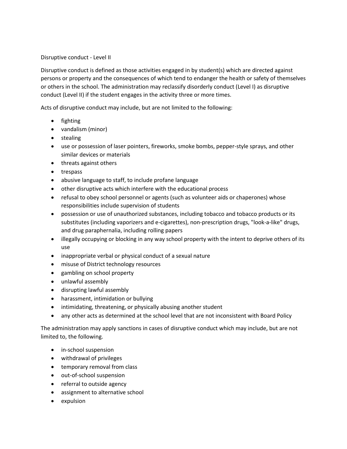#### Disruptive conduct - Level II

Disruptive conduct is defined as those activities engaged in by student(s) which are directed against persons or property and the consequences of which tend to endanger the health or safety of themselves or others in the school. The administration may reclassify disorderly conduct (Level I) as disruptive conduct (Level II) if the student engages in the activity three or more times.

Acts of disruptive conduct may include, but are not limited to the following:

- fighting
- vandalism (minor)
- stealing
- use or possession of laser pointers, fireworks, smoke bombs, pepper-style sprays, and other similar devices or materials
- threats against others
- trespass
- abusive language to staff, to include profane language
- other disruptive acts which interfere with the educational process
- refusal to obey school personnel or agents (such as volunteer aids or chaperones) whose responsibilities include supervision of students
- possession or use of unauthorized substances, including tobacco and tobacco products or its substitutes (including vaporizers and e-cigarettes), non-prescription drugs, "look-a-like" drugs, and drug paraphernalia, including rolling papers
- illegally occupying or blocking in any way school property with the intent to deprive others of its use
- inappropriate verbal or physical conduct of a sexual nature
- misuse of District technology resources
- gambling on school property
- unlawful assembly
- disrupting lawful assembly
- harassment, intimidation or bullying
- intimidating, threatening, or physically abusing another student
- any other acts as determined at the school level that are not inconsistent with Board Policy

The administration may apply sanctions in cases of disruptive conduct which may include, but are not limited to, the following.

- in-school suspension
- withdrawal of privileges
- temporary removal from class
- out-of-school suspension
- referral to outside agency
- assignment to alternative school
- expulsion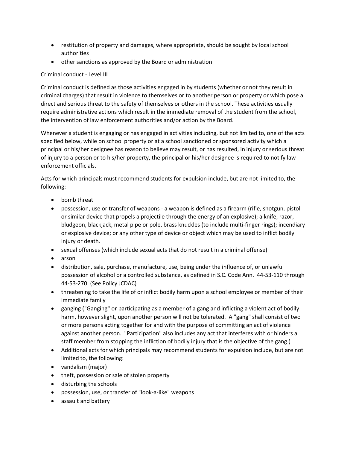- restitution of property and damages, where appropriate, should be sought by local school authorities
- other sanctions as approved by the Board or administration

# Criminal conduct - Level III

Criminal conduct is defined as those activities engaged in by students (whether or not they result in criminal charges) that result in violence to themselves or to another person or property or which pose a direct and serious threat to the safety of themselves or others in the school. These activities usually require administrative actions which result in the immediate removal of the student from the school, the intervention of law enforcement authorities and/or action by the Board.

Whenever a student is engaging or has engaged in activities including, but not limited to, one of the acts specified below, while on school property or at a school sanctioned or sponsored activity which a principal or his/her designee has reason to believe may result, or has resulted, in injury or serious threat of injury to a person or to his/her property, the principal or his/her designee is required to notify law enforcement officials.

Acts for which principals must recommend students for expulsion include, but are not limited to, the following:

- bomb threat
- possession, use or transfer of weapons a weapon is defined as a firearm (rifle, shotgun, pistol or similar device that propels a projectile through the energy of an explosive); a knife, razor, bludgeon, blackjack, metal pipe or pole, brass knuckles (to include multi-finger rings); incendiary or explosive device; or any other type of device or object which may be used to inflict bodily injury or death.
- sexual offenses (which include sexual acts that do not result in a criminal offense)
- arson
- distribution, sale, purchase, manufacture, use, being under the influence of, or unlawful possession of alcohol or a controlled substance, as defined in S.C. Code Ann. 44-53-110 through 44-53-270. (See Policy JCDAC)
- threatening to take the life of or inflict bodily harm upon a school employee or member of their immediate family
- ganging ("Ganging" or participating as a member of a gang and inflicting a violent act of bodily harm, however slight, upon another person will not be tolerated. A "gang" shall consist of two or more persons acting together for and with the purpose of committing an act of violence against another person. "Participation" also includes any act that interferes with or hinders a staff member from stopping the infliction of bodily injury that is the objective of the gang.)
- Additional acts for which principals may recommend students for expulsion include, but are not limited to, the following:
- vandalism (major)
- theft, possession or sale of stolen property
- disturbing the schools
- possession, use, or transfer of "look-a-like" weapons
- assault and battery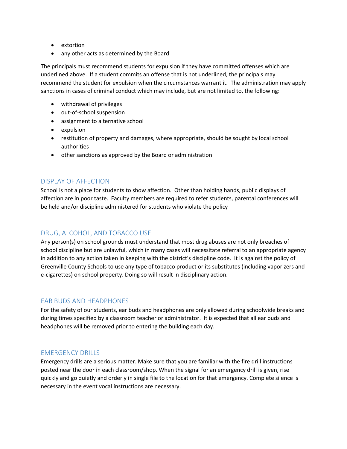- extortion
- any other acts as determined by the Board

The principals must recommend students for expulsion if they have committed offenses which are underlined above. If a student commits an offense that is not underlined, the principals may recommend the student for expulsion when the circumstances warrant it. The administration may apply sanctions in cases of criminal conduct which may include, but are not limited to, the following:

- withdrawal of privileges
- out-of-school suspension
- assignment to alternative school
- expulsion
- restitution of property and damages, where appropriate, should be sought by local school authorities
- other sanctions as approved by the Board or administration

# <span id="page-15-0"></span>DISPLAY OF AFFECTION

School is not a place for students to show affection. Other than holding hands, public displays of affection are in poor taste. Faculty members are required to refer students, parental conferences will be held and/or discipline administered for students who violate the policy

# <span id="page-15-1"></span>DRUG, ALCOHOL, AND TOBACCO USE

Any person(s) on school grounds must understand that most drug abuses are not only breaches of school discipline but are unlawful, which in many cases will necessitate referral to an appropriate agency in addition to any action taken in keeping with the district's discipline code. It is against the policy of Greenville County Schools to use any type of tobacco product or its substitutes (including vaporizers and e-cigarettes) on school property. Doing so will result in disciplinary action.

# <span id="page-15-2"></span>EAR BUDS AND HEADPHONES

For the safety of our students, ear buds and headphones are only allowed during schoolwide breaks and during times specified by a classroom teacher or administrator. It is expected that all ear buds and headphones will be removed prior to entering the building each day.

# <span id="page-15-3"></span>EMERGENCY DRILLS

Emergency drills are a serious matter. Make sure that you are familiar with the fire drill instructions posted near the door in each classroom/shop. When the signal for an emergency drill is given, rise quickly and go quietly and orderly in single file to the location for that emergency. Complete silence is necessary in the event vocal instructions are necessary.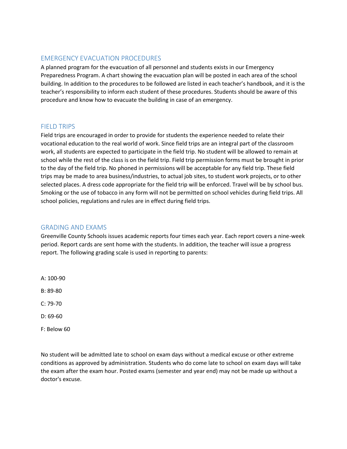# <span id="page-16-0"></span>EMERGENCY EVACUATION PROCEDURES

A planned program for the evacuation of all personnel and students exists in our Emergency Preparedness Program. A chart showing the evacuation plan will be posted in each area of the school building. In addition to the procedures to be followed are listed in each teacher's handbook, and it is the teacher's responsibility to inform each student of these procedures. Students should be aware of this procedure and know how to evacuate the building in case of an emergency.

# <span id="page-16-1"></span>**FIFLD TRIPS**

Field trips are encouraged in order to provide for students the experience needed to relate their vocational education to the real world of work. Since field trips are an integral part of the classroom work, all students are expected to participate in the field trip. No student will be allowed to remain at school while the rest of the class is on the field trip. Field trip permission forms must be brought in prior to the day of the field trip. No phoned in permissions will be acceptable for any field trip. These field trips may be made to area business/industries, to actual job sites, to student work projects, or to other selected places. A dress code appropriate for the field trip will be enforced. Travel will be by school bus. Smoking or the use of tobacco in any form will not be permitted on school vehicles during field trips. All school policies, regulations and rules are in effect during field trips.

# <span id="page-16-2"></span>GRADING AND EXAMS

Greenville County Schools issues academic reports four times each year. Each report covers a nine-week period. Report cards are sent home with the students. In addition, the teacher will issue a progress report. The following grading scale is used in reporting to parents:

- A: 100-90
- B: 89-80
- C: 79-70
- D: 69-60
- F: Below 60

No student will be admitted late to school on exam days without a medical excuse or other extreme conditions as approved by administration. Students who do come late to school on exam days will take the exam after the exam hour. Posted exams (semester and year end) may not be made up without a doctor's excuse.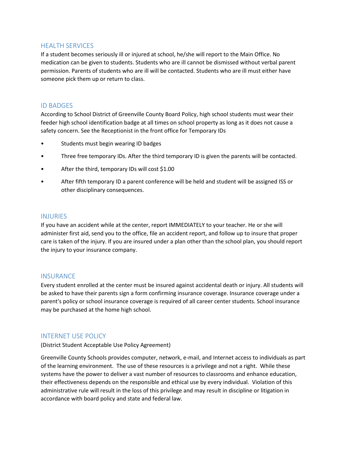# <span id="page-17-0"></span>HEALTH SERVICES

If a student becomes seriously ill or injured at school, he/she will report to the Main Office. No medication can be given to students. Students who are ill cannot be dismissed without verbal parent permission. Parents of students who are ill will be contacted. Students who are ill must either have someone pick them up or return to class.

### <span id="page-17-1"></span>ID BADGES

According to School District of Greenville County Board Policy, high school students must wear their feeder high school identification badge at all times on school property as long as it does not cause a safety concern. See the Receptionist in the front office for Temporary IDs

- Students must begin wearing ID badges
- Three free temporary IDs. After the third temporary ID is given the parents will be contacted.
- After the third, temporary IDs will cost \$1.00
- After fifth temporary ID a parent conference will be held and student will be assigned ISS or other disciplinary consequences.

#### <span id="page-17-2"></span>INJURIES

If you have an accident while at the center, report IMMEDIATELY to your teacher. He or she will administer first aid, send you to the office, file an accident report, and follow up to insure that proper care is taken of the injury. If you are insured under a plan other than the school plan, you should report the injury to your insurance company.

#### <span id="page-17-3"></span>**INSURANCE**

Every student enrolled at the center must be insured against accidental death or injury. All students will be asked to have their parents sign a form confirming insurance coverage. Insurance coverage under a parent's policy or school insurance coverage is required of all career center students. School insurance may be purchased at the home high school.

# <span id="page-17-4"></span>INTERNET USE POLICY

(District Student Acceptable Use Policy Agreement)

Greenville County Schools provides computer, network, e-mail, and Internet access to individuals as part of the learning environment. The use of these resources is a privilege and not a right. While these systems have the power to deliver a vast number of resources to classrooms and enhance education, their effectiveness depends on the responsible and ethical use by every individual. Violation of this administrative rule will result in the loss of this privilege and may result in discipline or litigation in accordance with board policy and state and federal law.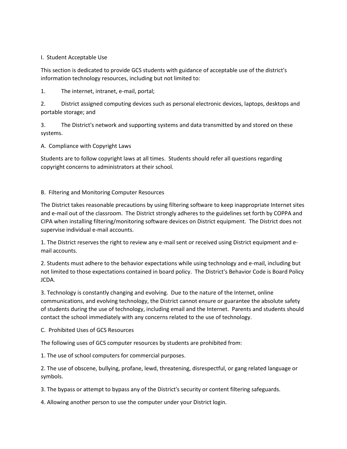#### I. Student Acceptable Use

This section is dedicated to provide GCS students with guidance of acceptable use of the district's information technology resources, including but not limited to:

1. The internet, intranet, e-mail, portal;

2. District assigned computing devices such as personal electronic devices, laptops, desktops and portable storage; and

3. The District's network and supporting systems and data transmitted by and stored on these systems.

A. Compliance with Copyright Laws

Students are to follow copyright laws at all times. Students should refer all questions regarding copyright concerns to administrators at their school.

#### B. Filtering and Monitoring Computer Resources

The District takes reasonable precautions by using filtering software to keep inappropriate Internet sites and e-mail out of the classroom. The District strongly adheres to the guidelines set forth by COPPA and CIPA when installing filtering/monitoring software devices on District equipment. The District does not supervise individual e-mail accounts.

1. The District reserves the right to review any e-mail sent or received using District equipment and email accounts.

2. Students must adhere to the behavior expectations while using technology and e-mail, including but not limited to those expectations contained in board policy. The District's Behavior Code is Board Policy JCDA.

3. Technology is constantly changing and evolving. Due to the nature of the Internet, online communications, and evolving technology, the District cannot ensure or guarantee the absolute safety of students during the use of technology, including email and the Internet. Parents and students should contact the school immediately with any concerns related to the use of technology.

C. Prohibited Uses of GCS Resources

The following uses of GCS computer resources by students are prohibited from:

1. The use of school computers for commercial purposes.

2. The use of obscene, bullying, profane, lewd, threatening, disrespectful, or gang related language or symbols.

3. The bypass or attempt to bypass any of the District's security or content filtering safeguards.

4. Allowing another person to use the computer under your District login.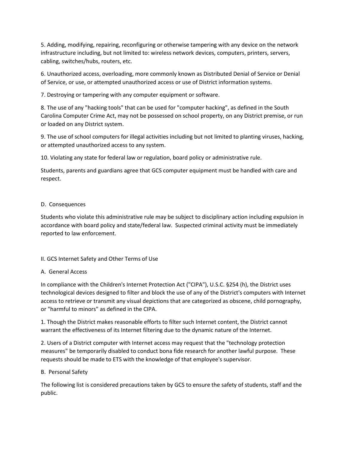5. Adding, modifying, repairing, reconfiguring or otherwise tampering with any device on the network infrastructure including, but not limited to: wireless network devices, computers, printers, servers, cabling, switches/hubs, routers, etc.

6. Unauthorized access, overloading, more commonly known as Distributed Denial of Service or Denial of Service, or use, or attempted unauthorized access or use of District information systems.

7. Destroying or tampering with any computer equipment or software.

8. The use of any "hacking tools" that can be used for "computer hacking", as defined in the South Carolina Computer Crime Act, may not be possessed on school property, on any District premise, or run or loaded on any District system.

9. The use of school computers for illegal activities including but not limited to planting viruses, hacking, or attempted unauthorized access to any system.

10. Violating any state for federal law or regulation, board policy or administrative rule.

Students, parents and guardians agree that GCS computer equipment must be handled with care and respect.

#### D. Consequences

Students who violate this administrative rule may be subject to disciplinary action including expulsion in accordance with board policy and state/federal law. Suspected criminal activity must be immediately reported to law enforcement.

# II. GCS Internet Safety and Other Terms of Use

#### A. General Access

In compliance with the Children's Internet Protection Act ("CIPA"), U.S.C. §254 (h), the District uses technological devices designed to filter and block the use of any of the District's computers with Internet access to retrieve or transmit any visual depictions that are categorized as obscene, child pornography, or "harmful to minors" as defined in the CIPA.

1. Though the District makes reasonable efforts to filter such Internet content, the District cannot warrant the effectiveness of its Internet filtering due to the dynamic nature of the Internet.

2. Users of a District computer with Internet access may request that the "technology protection measures" be temporarily disabled to conduct bona fide research for another lawful purpose. These requests should be made to ETS with the knowledge of that employee's supervisor.

#### B. Personal Safety

The following list is considered precautions taken by GCS to ensure the safety of students, staff and the public.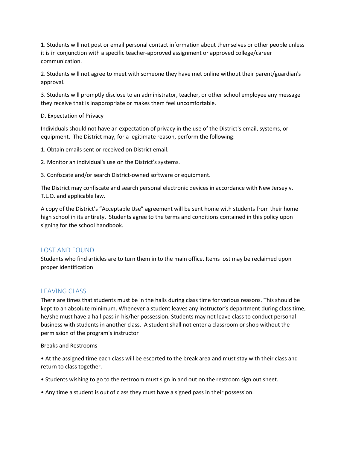1. Students will not post or email personal contact information about themselves or other people unless it is in conjunction with a specific teacher-approved assignment or approved college/career communication.

2. Students will not agree to meet with someone they have met online without their parent/guardian's approval.

3. Students will promptly disclose to an administrator, teacher, or other school employee any message they receive that is inappropriate or makes them feel uncomfortable.

#### D. Expectation of Privacy

Individuals should not have an expectation of privacy in the use of the District's email, systems, or equipment. The District may, for a legitimate reason, perform the following:

1. Obtain emails sent or received on District email.

2. Monitor an individual's use on the District's systems.

3. Confiscate and/or search District-owned software or equipment.

The District may confiscate and search personal electronic devices in accordance with New Jersey v. T.L.O. and applicable law.

A copy of the District's "Acceptable Use" agreement will be sent home with students from their home high school in its entirety. Students agree to the terms and conditions contained in this policy upon signing for the school handbook.

#### <span id="page-20-0"></span>LOST AND FOUND

Students who find articles are to turn them in to the main office. Items lost may be reclaimed upon proper identification

# <span id="page-20-1"></span>LEAVING CLASS

There are times that students must be in the halls during class time for various reasons. This should be kept to an absolute minimum. Whenever a student leaves any instructor's department during class time, he/she must have a hall pass in his/her possession. Students may not leave class to conduct personal business with students in another class. A student shall not enter a classroom or shop without the permission of the program's instructor

#### Breaks and Restrooms

• At the assigned time each class will be escorted to the break area and must stay with their class and return to class together.

- Students wishing to go to the restroom must sign in and out on the restroom sign out sheet.
- Any time a student is out of class they must have a signed pass in their possession.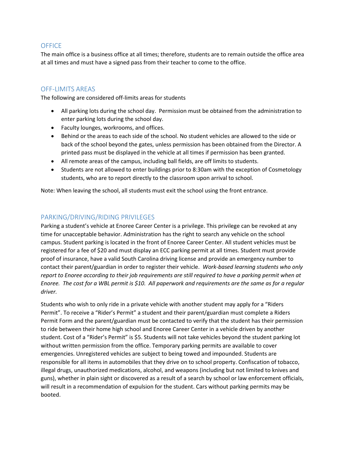# <span id="page-21-0"></span>**OFFICE**

The main office is a business office at all times; therefore, students are to remain outside the office area at all times and must have a signed pass from their teacher to come to the office.

# <span id="page-21-1"></span>OFF-LIMITS AREAS

The following are considered off-limits areas for students

- All parking lots during the school day. Permission must be obtained from the administration to enter parking lots during the school day.
- Faculty lounges, workrooms, and offices.
- Behind or the areas to each side of the school. No student vehicles are allowed to the side or back of the school beyond the gates, unless permission has been obtained from the Director. A printed pass must be displayed in the vehicle at all times if permission has been granted.
- All remote areas of the campus, including ball fields, are off limits to students.
- Students are not allowed to enter buildings prior to 8:30am with the exception of Cosmetology students, who are to report directly to the classroom upon arrival to school.

Note: When leaving the school, all students must exit the school using the front entrance.

# <span id="page-21-2"></span>PARKING/DRIVING/RIDING PRIVILEGES

Parking a student's vehicle at Enoree Career Center is a privilege. This privilege can be revoked at any time for unacceptable behavior. Administration has the right to search any vehicle on the school campus. Student parking is located in the front of Enoree Career Center. All student vehicles must be registered for a fee of \$20 and must display an ECC parking permit at all times. Student must provide proof of insurance, have a valid South Carolina driving license and provide an emergency number to contact their parent/guardian in order to register their vehicle. *Work-based learning students who only report to Enoree according to their job requirements are still required to have a parking permit when at Enoree. The cost for a WBL permit is \$10. All paperwork and requirements are the same as for a regular driver.*

Students who wish to only ride in a private vehicle with another student may apply for a "Riders Permit". To receive a "Rider's Permit" a student and their parent/guardian must complete a Riders Permit Form and the parent/guardian must be contacted to verify that the student has their permission to ride between their home high school and Enoree Career Center in a vehicle driven by another student. Cost of a "Rider's Permit" is \$5. Students will not take vehicles beyond the student parking lot without written permission from the office. Temporary parking permits are available to cover emergencies. Unregistered vehicles are subject to being towed and impounded. Students are responsible for all items in automobiles that they drive on to school property. Confiscation of tobacco, illegal drugs, unauthorized medications, alcohol, and weapons (including but not limited to knives and guns), whether in plain sight or discovered as a result of a search by school or law enforcement officials, will result in a recommendation of expulsion for the student. Cars without parking permits may be booted.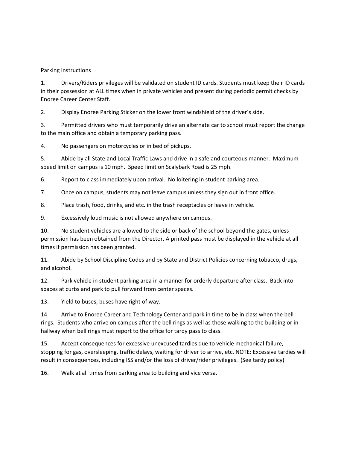#### Parking instructions

1. Drivers/Riders privileges will be validated on student ID cards. Students must keep their ID cards in their possession at ALL times when in private vehicles and present during periodic permit checks by Enoree Career Center Staff.

2. Display Enoree Parking Sticker on the lower front windshield of the driver's side.

3. Permitted drivers who must temporarily drive an alternate car to school must report the change to the main office and obtain a temporary parking pass.

4. No passengers on motorcycles or in bed of pickups.

5. Abide by all State and Local Traffic Laws and drive in a safe and courteous manner. Maximum speed limit on campus is 10 mph. Speed limit on Scalybark Road is 25 mph.

6. Report to class immediately upon arrival. No loitering in student parking area.

7. Once on campus, students may not leave campus unless they sign out in front office.

8. Place trash, food, drinks, and etc. in the trash receptacles or leave in vehicle.

9. Excessively loud music is not allowed anywhere on campus.

10. No student vehicles are allowed to the side or back of the school beyond the gates, unless permission has been obtained from the Director. A printed pass must be displayed in the vehicle at all times if permission has been granted.

11. Abide by School Discipline Codes and by State and District Policies concerning tobacco, drugs, and alcohol.

12. Park vehicle in student parking area in a manner for orderly departure after class. Back into spaces at curbs and park to pull forward from center spaces.

13. Yield to buses, buses have right of way.

14. Arrive to Enoree Career and Technology Center and park in time to be in class when the bell rings. Students who arrive on campus after the bell rings as well as those walking to the building or in hallway when bell rings must report to the office for tardy pass to class.

15. Accept consequences for excessive unexcused tardies due to vehicle mechanical failure, stopping for gas, oversleeping, traffic delays, waiting for driver to arrive, etc. NOTE: Excessive tardies will result in consequences, including ISS and/or the loss of driver/rider privileges. (See tardy policy)

16. Walk at all times from parking area to building and vice versa.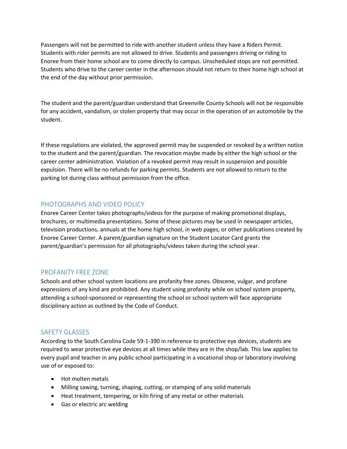Passengers will not be permitted to ride with another student unless they have a Riders Permit. Students with rider permits are not allowed to drive. Students and passengers driving or riding to Enoree from their home school are to come directly to campus. Unscheduled stops are not permitted. Students who drive to the career center in the afternoon should not return to their home high school at the end of the day without prior permission.

The student and the parent/guardian understand that Greenville County Schools will not be responsible for any accident, vandalism, or stolen property that may occur in the operation of an automobile by the student.

If these regulations are violated, the approved permit may be suspended or revoked by a written notice to the student and the parent/guardian. The revocation maybe made by either the high school or the career center administration. Violation of a revoked permit may result in suspension and possible expulsion. There will be no refunds for parking permits. Students are not allowed to return to the parking lot during class without permission from the office.

# <span id="page-23-0"></span>PHOTOGRAPHS AND VIDEO POLICY

Enoree Career Center takes photographs/videos for the purpose of making promotional displays, brochures, or multimedia presentations. Some of these pictures may be used in newspaper articles, television productions, annuals at the home high school, in web pages, or other publications created by Enoree Career Center. A parent/guardian signature on the Student Locator Card grants the parent/guardian's permission for all photographs/videos taken during the school year.

# <span id="page-23-1"></span>PROFANITY FREE ZONE

Schools and other school system locations are profanity free zones. Obscene, vulgar, and profane expressions of any kind are prohibited. Any student using profanity while on school system property, attending a school-sponsored or representing the school or school system will face appropriate disciplinary action as outlined by the Code of Conduct.

# <span id="page-23-2"></span>SAFETY GLASSES

According to the South Carolina Code 59-1-390 in reference to protective eye devices, students are required to wear protective eye devices at all times while they are in the shop/lab. This law applies to every pupil and teacher in any public school participating in a vocational shop or laboratory involving use of or exposed to:

- Hot molten metals
- Milling sawing, turning, shaping, cutting, or stamping of any solid materials
- Heat treatment, tempering, or kiln firing of any metal or other materials
- Gas or electric arc welding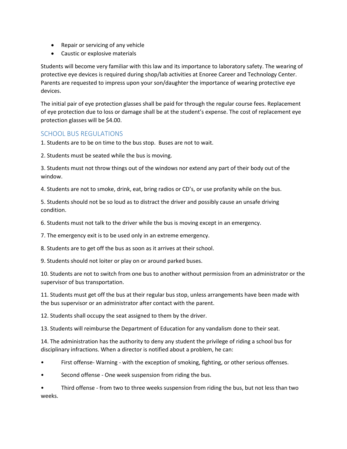- Repair or servicing of any vehicle
- Caustic or explosive materials

Students will become very familiar with this law and its importance to laboratory safety. The wearing of protective eye devices is required during shop/lab activities at Enoree Career and Technology Center. Parents are requested to impress upon your son/daughter the importance of wearing protective eye devices.

The initial pair of eye protection glasses shall be paid for through the regular course fees. Replacement of eye protection due to loss or damage shall be at the student's expense. The cost of replacement eye protection glasses will be \$4.00.

# <span id="page-24-0"></span>SCHOOL BUS REGULATIONS

1. Students are to be on time to the bus stop. Buses are not to wait.

2. Students must be seated while the bus is moving.

3. Students must not throw things out of the windows nor extend any part of their body out of the window.

4. Students are not to smoke, drink, eat, bring radios or CD's, or use profanity while on the bus.

5. Students should not be so loud as to distract the driver and possibly cause an unsafe driving condition.

6. Students must not talk to the driver while the bus is moving except in an emergency.

7. The emergency exit is to be used only in an extreme emergency.

8. Students are to get off the bus as soon as it arrives at their school.

9. Students should not loiter or play on or around parked buses.

10. Students are not to switch from one bus to another without permission from an administrator or the supervisor of bus transportation.

11. Students must get off the bus at their regular bus stop, unless arrangements have been made with the bus supervisor or an administrator after contact with the parent.

12. Students shall occupy the seat assigned to them by the driver.

13. Students will reimburse the Department of Education for any vandalism done to their seat.

14. The administration has the authority to deny any student the privilege of riding a school bus for disciplinary infractions. When a director is notified about a problem, he can:

- First offense- Warning with the exception of smoking, fighting, or other serious offenses.
- Second offense One week suspension from riding the bus.

• Third offense - from two to three weeks suspension from riding the bus, but not less than two weeks.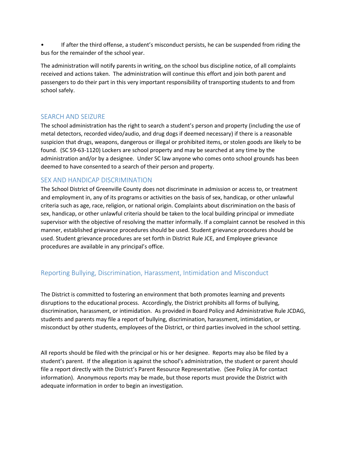• If after the third offense, a student's misconduct persists, he can be suspended from riding the bus for the remainder of the school year.

The administration will notify parents in writing, on the school bus discipline notice, of all complaints received and actions taken. The administration will continue this effort and join both parent and passengers to do their part in this very important responsibility of transporting students to and from school safely.

# <span id="page-25-0"></span>SEARCH AND SEIZURE

The school administration has the right to search a student's person and property (including the use of metal detectors, recorded video/audio, and drug dogs if deemed necessary) if there is a reasonable suspicion that drugs, weapons, dangerous or illegal or prohibited items, or stolen goods are likely to be found. (SC 59-63-1120) Lockers are school property and may be searched at any time by the administration and/or by a designee. Under SC law anyone who comes onto school grounds has been deemed to have consented to a search of their person and property.

# <span id="page-25-1"></span>SEX AND HANDICAP DISCRIMINATION

The School District of Greenville County does not discriminate in admission or access to, or treatment and employment in, any of its programs or activities on the basis of sex, handicap, or other unlawful criteria such as age, race, religion, or national origin. Complaints about discrimination on the basis of sex, handicap, or other unlawful criteria should be taken to the local building principal or immediate supervisor with the objective of resolving the matter informally. If a complaint cannot be resolved in this manner, established grievance procedures should be used. Student grievance procedures should be used. Student grievance procedures are set forth in District Rule JCE, and Employee grievance procedures are available in any principal's office.

# <span id="page-25-2"></span>Reporting Bullying, Discrimination, Harassment, Intimidation and Misconduct

The District is committed to fostering an environment that both promotes learning and prevents disruptions to the educational process. Accordingly, the District prohibits all forms of bullying, discrimination, harassment, or intimidation. As provided in Board Policy and Administrative Rule JCDAG, students and parents may file a report of bullying, discrimination, harassment, intimidation, or misconduct by other students, employees of the District, or third parties involved in the school setting.

All reports should be filed with the principal or his or her designee. Reports may also be filed by a student's parent. If the allegation is against the school's administration, the student or parent should file a report directly with the District's Parent Resource Representative. (See Policy JA for contact information). Anonymous reports may be made, but those reports must provide the District with adequate information in order to begin an investigation.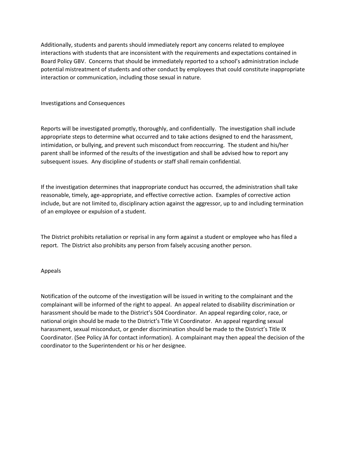Additionally, students and parents should immediately report any concerns related to employee interactions with students that are inconsistent with the requirements and expectations contained in Board Policy GBV. Concerns that should be immediately reported to a school's administration include potential mistreatment of students and other conduct by employees that could constitute inappropriate interaction or communication, including those sexual in nature.

Investigations and Consequences

Reports will be investigated promptly, thoroughly, and confidentially. The investigation shall include appropriate steps to determine what occurred and to take actions designed to end the harassment, intimidation, or bullying, and prevent such misconduct from reoccurring. The student and his/her parent shall be informed of the results of the investigation and shall be advised how to report any subsequent issues. Any discipline of students or staff shall remain confidential.

If the investigation determines that inappropriate conduct has occurred, the administration shall take reasonable, timely, age-appropriate, and effective corrective action. Examples of corrective action include, but are not limited to, disciplinary action against the aggressor, up to and including termination of an employee or expulsion of a student.

The District prohibits retaliation or reprisal in any form against a student or employee who has filed a report. The District also prohibits any person from falsely accusing another person.

#### Appeals

Notification of the outcome of the investigation will be issued in writing to the complainant and the complainant will be informed of the right to appeal. An appeal related to disability discrimination or harassment should be made to the District's 504 Coordinator. An appeal regarding color, race, or national origin should be made to the District's Title VI Coordinator. An appeal regarding sexual harassment, sexual misconduct, or gender discrimination should be made to the District's Title IX Coordinator. (See Policy JA for contact information). A complainant may then appeal the decision of the coordinator to the Superintendent or his or her designee.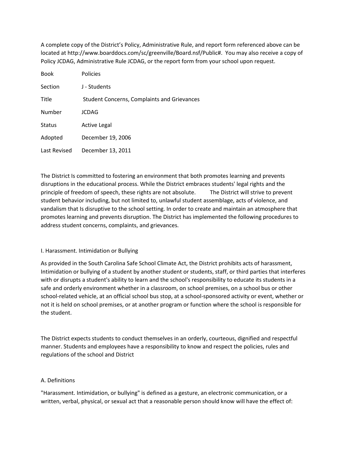A complete copy of the District's Policy, Administrative Rule, and report form referenced above can be located at http://www.boarddocs.com/sc/greenville/Board.nsf/Public#. You may also receive a copy of Policy JCDAG, Administrative Rule JCDAG, or the report form from your school upon request.

| <b>Book</b>   | <b>Policies</b>                                    |
|---------------|----------------------------------------------------|
| Section       | J - Students                                       |
| Title         | <b>Student Concerns, Complaints and Grievances</b> |
| Number        | JCDAG                                              |
| <b>Status</b> | <b>Active Legal</b>                                |
| Adopted       | December 19, 2006                                  |
| Last Revised  | December 13, 2011                                  |

The District Is committed to fostering an environment that both promotes learning and prevents disruptions in the educational process. While the District embraces students' legal rights and the principle of freedom of speech, these rights are not absolute. The District will strive to prevent student behavior including, but not limited to, unlawful student assemblage, acts of violence, and vandalism that Is disruptive to the school setting. In order to create and maintain an atmosphere that promotes learning and prevents disruption. The District has implemented the following procedures to address student concerns, complaints, and grievances.

#### I. Harassment. Intimidation or Bullying

As provided in the South Carolina Safe School Climate Act, the District prohibits acts of harassment, Intimidation or bullying of a student by another student or students, staff, or third parties that interferes with or disrupts a student's ability to learn and the school's responsibility to educate its students in a safe and orderly environment whether in a classroom, on school premises, on a school bus or other school-related vehicle, at an official school bus stop, at a school-sponsored activity or event, whether or not it is held on school premises, or at another program or function where the school is responsible for the student.

The District expects students to conduct themselves in an orderly, courteous, dignified and respectful manner. Students and employees have a responsibility to know and respect the policies, rules and regulations of the school and District

#### A. Definitions

"Harassment. Intimidation, or bullying" is defined as a gesture, an electronic communication, or a written, verbal, physical, or sexual act that a reasonable person should know will have the effect of: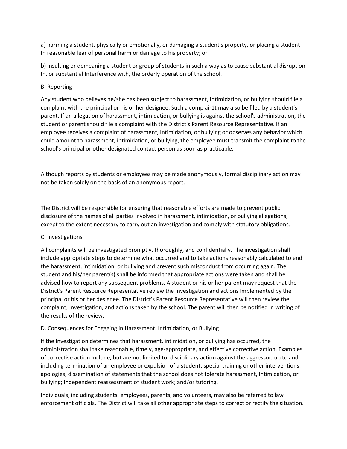a} harming a student, physically or emotionally, or damaging a student's property, or placing a student In reasonable fear of personal harm or damage to his property; or

b) insulting or demeaning a student or group of students in such a way as to cause substantial disruption In. or substantial Interference with, the orderly operation of the school.

#### B. Reporting

Any student who believes he/she has been subject to harassment, Intimidation, or bullying should file a complaint with the principal or his or her designee. Such a complair1t may also be filed by a student's parent. If an allegation of harassment, intimidation, or bullying is against the school's administration, the student or parent should file a complaint with the District's Parent Resource Representative. If an employee receives a complaint of harassment, Intimidation, or bullying or observes any behavior which could amount to harassment, intimidation, or bullying, the employee must transmit the complaint to the school's principal or other designated contact person as soon as practicable.

Although reports by students or employees may be made anonymously, formal disciplinary action may not be taken solely on the basis of an anonymous report.

The District will be responsible for ensuring that reasonable efforts are made to prevent public disclosure of the names of all parties involved in harassment, intimidation, or bullying allegations, except to the extent necessary to carry out an investigation and comply with statutory obligations.

# C. Investigations

All complaints will be investigated promptly, thoroughly, and confidentially. The investigation shall include appropriate steps to determine what occurred and to take actions reasonably calculated to end the harassment, intimidation, or bullying and prevent such misconduct from occurring again. The student and his/her parent(s) shall be informed that appropriate actions were taken and shall be advised how to report any subsequent problems. A student or his or her parent may request that the District's Parent Resource Representative review the Investigation and actions Implemented by the principal or his or her designee. The District's Parent Resource Representative will then review the complaint, Investigation, and actions taken by the school. The parent will then be notified in writing of the results of the review.

#### D. Consequences for Engaging in Harassment. Intimidation, or Bullying

If the Investigation determines that harassment, intimidation, or bullying has occurred, the administration shall take reasonable, timely, age-appropriate, and effective corrective action. Examples of corrective action Include, but are not limited to, disciplinary action against the aggressor, up to and including termination of an employee or expulsion of a student; special training or other interventions; apologies; dissemination of statements that the school does not tolerate harassment, Intimidation, or bullying; Independent reassessment of student work; and/or tutoring.

Individuals, including students, employees, parents, and volunteers, may also be referred to law enforcement officials. The District will take all other appropriate steps to correct or rectify the situation.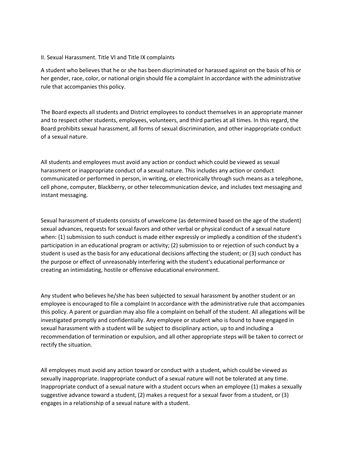#### II. Sexual Harassment. Title VI and Title IX complaints

A student who believes that he or she has been discriminated or harassed against on the basis of his or her gender, race, color, or national origin should file a complaint In accordance with the administrative rule that accompanies this policy.

The Board expects all students and District employees to conduct themselves in an appropriate manner and to respect other students, employees, volunteers, and third parties at all times. In this regard, the Board prohibits sexual harassment, all forms of sexual discrimination, and other inappropriate conduct of a sexual nature.

All students and employees must avoid any action or conduct which could be viewed as sexual harassment or inappropriate conduct of a sexual nature. This includes any action or conduct communicated or performed in person, in writing, or electronically through such means as a telephone, cell phone, computer, Blackberry, or other telecommunication device, and includes text messaging and instant messaging.

Sexual harassment of students consists of unwelcome (as determined based on the age of the student) sexual advances, requests for sexual favors and other verbal or physical conduct of a sexual nature when: {1} submission to such conduct is made either expressly or impliedly a condition of the student's participation in an educational program or activity; (2) submission to or rejection of such conduct by a student is used as the basis for any educational decisions affecting the student; or (3) such conduct has the purpose or effect of unreasonably interfering with the student's educational performance or creating an intimidating, hostile or offensive educational environment.

Any student who believes he/she has been subjected to sexual harassment by another student or an employee is encouraged to file a complaint In accordance with the administrative rule that accompanies this policy. A parent or guardian may also file a complaint on behalf of the student. All allegations will be investigated promptly and confidentially. Any employee or student who is found to have engaged in sexual harassment with a student will be subject to disciplinary action, up to and including a recommendation of termination or expulsion, and all other appropriate steps will be taken to correct or rectify the situation.

All employees must avoid any action toward or conduct with a student, which could be viewed as sexually inappropriate. Inappropriate conduct of a sexual nature will not be tolerated at any time. Inappropriate conduct of a sexual nature with a student occurs when an employee (1) makes a sexually suggestive advance toward a student, (2) makes a request for a sexual favor from a student, or (3) engages in a relationship of a sexual nature with a student.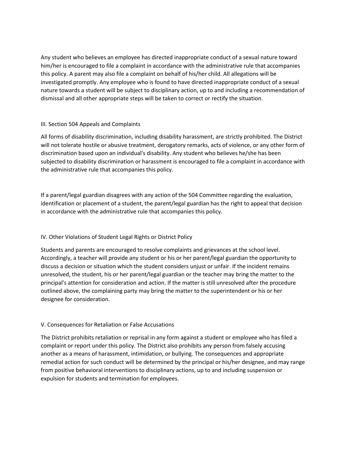Any student who believes an employee has directed inappropriate conduct of a sexual nature toward him/her is encouraged to file a complaint in accordance with the administrative rule that accompanies this policy. A parent may also file a complaint on behalf of his/her child. All allegations will be investigated promptly. Any employee who is found to have directed inappropriate conduct of a sexual nature towards a student will be subject to disciplinary action, up to and including a recommendation of dismissal and all other appropriate steps will be taken to correct or rectify the situation.

#### III. Section 504 Appeals and Complaints

All forms of disability discrimination, including disability harassment, are strictly prohibited. The District will not tolerate hostile or abusive treatment, derogatory remarks, acts of violence, or any other form of discrimination based upon an individual's disability. Any student who believes he/she has been subjected to disability discrimination or harassment is encouraged to file a complaint in accordance with the administrative rule that accompanies this policy.

If a parent/legal guardian disagrees with any action of the 504 Committee regarding the evaluation, identification or placement of a student, the parent/legal guardian has the right to appeal that decision in accordance with the administrative rule that accompanies this policy.

# IV. Other Violations of Student Legal Rights or District Policy

Students and parents are encouraged to resolve complaints and grievances at the school level. Accordingly, a teacher will provide any student or his or her parent/legal guardian the opportunity to discuss a decision or situation which the student considers unjust or unfair. If the incident remains unresolved, the student, his or her parent/legal guardian or the teacher may bring the matter to the principal's attention for consideration and action. If the matter is still unresolved after the procedure outlined above, the complaining party may bring the matter to the superintendent or his or her designee for consideration.

# V. Consequences for Retaliation or False Accusations

The District prohibits retaliation or reprisal in any form against a student or employee who has filed a complaint or report under this policy. The District also prohibits any person from falsely accusing another as a means of harassment, intimidation, or bullying. The consequences and appropriate remedial action for such conduct will be determined by the principal or his/her designee, and may range from positive behavioral interventions to disciplinary actions, up to and including suspension or expulsion for students and termination for employees.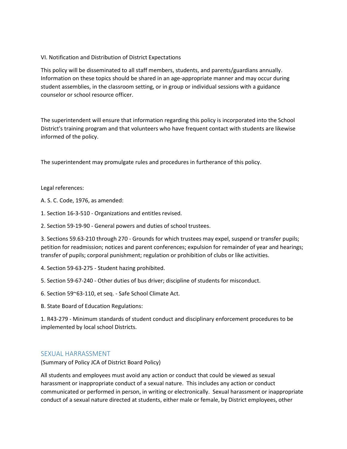#### VI. Notification and Distribution of District Expectations

This policy will be disseminated to all staff members, students, and parents/guardians annually. Information on these topics should be shared in an age-appropriate manner and may occur during student assemblies, in the classroom setting, or in group or individual sessions with a guidance counselor or school resource officer.

The superintendent will ensure that information regarding this policy is incorporated into the School District's training program and that volunteers who have frequent contact with students are likewise informed of the policy.

The superintendent may promulgate rules and procedures in furtherance of this policy.

#### Legal references:

A. S. C. Code, 1976, as amended:

1. Section 16-3-510 - Organizations and entitles revised.

2. Section 59-19-90 - General powers and duties of school trustees.

3. Sections 59.63-210 through 270 - Grounds for which trustees may expel, suspend or transfer pupils; petition for readmission; notices and parent conferences; expulsion for remainder of year and hearings; transfer of pupils; corporal punishment; regulation or prohibition of clubs or like activities.

4. Section 59-63-275 - Student hazing prohibited.

5. Section 59-67-240 - Other duties of bus driver; discipline of students for misconduct.

6. Section 59~63-110, et seq. - Safe School Climate Act.

B. State Board of Education Regulations:

1. R43-279 - Minimum standards of student conduct and disciplinary enforcement procedures to be implemented by local school Districts.

# <span id="page-31-0"></span>SEXUAL HARRASSMENT

(Summary of Policy JCA of District Board Policy)

All students and employees must avoid any action or conduct that could be viewed as sexual harassment or inappropriate conduct of a sexual nature. This includes any action or conduct communicated or performed in person, in writing or electronically. Sexual harassment or inappropriate conduct of a sexual nature directed at students, either male or female, by District employees, other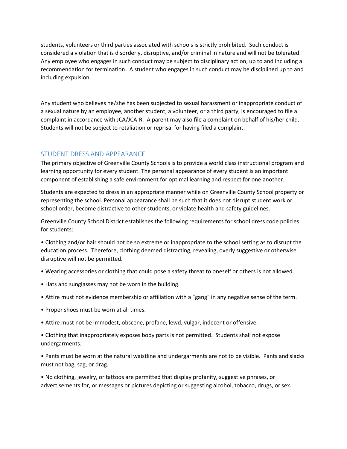students, volunteers or third parties associated with schools is strictly prohibited. Such conduct is considered a violation that is disorderly, disruptive, and/or criminal in nature and will not be tolerated. Any employee who engages in such conduct may be subject to disciplinary action, up to and including a recommendation for termination. A student who engages in such conduct may be disciplined up to and including expulsion.

Any student who believes he/she has been subjected to sexual harassment or inappropriate conduct of a sexual nature by an employee, another student, a volunteer, or a third party, is encouraged to file a complaint in accordance with JCA/JCA-R. A parent may also file a complaint on behalf of his/her child. Students will not be subject to retaliation or reprisal for having filed a complaint.

# <span id="page-32-0"></span>STUDENT DRESS AND APPEARANCE

The primary objective of Greenville County Schools is to provide a world class instructional program and learning opportunity for every student. The personal appearance of every student is an important component of establishing a safe environment for optimal learning and respect for one another.

Students are expected to dress in an appropriate manner while on Greenville County School property or representing the school. Personal appearance shall be such that it does not disrupt student work or school order, become distractive to other students, or violate health and safety guidelines.

Greenville County School District establishes the following requirements for school dress code policies for students:

• Clothing and/or hair should not be so extreme or inappropriate to the school setting as to disrupt the education process. Therefore, clothing deemed distracting, revealing, overly suggestive or otherwise disruptive will not be permitted.

- Wearing accessories or clothing that could pose a safety threat to oneself or others is not allowed.
- Hats and sunglasses may not be worn in the building.
- Attire must not evidence membership or affiliation with a "gang" in any negative sense of the term.
- Proper shoes must be worn at all times.
- Attire must not be immodest, obscene, profane, lewd, vulgar, indecent or offensive.
- Clothing that inappropriately exposes body parts is not permitted. Students shall not expose undergarments.

• Pants must be worn at the natural waistline and undergarments are not to be visible. Pants and slacks must not bag, sag, or drag.

• No clothing, jewelry, or tattoos are permitted that display profanity, suggestive phrases, or advertisements for, or messages or pictures depicting or suggesting alcohol, tobacco, drugs, or sex.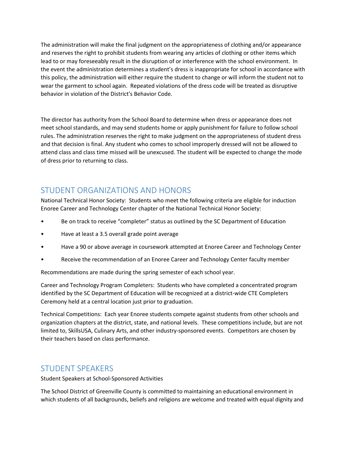The administration will make the final judgment on the appropriateness of clothing and/or appearance and reserves the right to prohibit students from wearing any articles of clothing or other items which lead to or may foreseeably result in the disruption of or interference with the school environment. In the event the administration determines a student's dress is inappropriate for school in accordance with this policy, the administration will either require the student to change or will inform the student not to wear the garment to school again. Repeated violations of the dress code will be treated as disruptive behavior in violation of the District's Behavior Code.

The director has authority from the School Board to determine when dress or appearance does not meet school standards, and may send students home or apply punishment for failure to follow school rules. The administration reserves the right to make judgment on the appropriateness of student dress and that decision is final. Any student who comes to school improperly dressed will not be allowed to attend class and class time missed will be unexcused. The student will be expected to change the mode of dress prior to returning to class.

# <span id="page-33-0"></span>STUDENT ORGANIZATIONS AND HONORS

National Technical Honor Society: Students who meet the following criteria are eligible for induction Enoree Career and Technology Center chapter of the National Technical Honor Society:

- Be on track to receive "completer" status as outlined by the SC Department of Education
- Have at least a 3.5 overall grade point average
- Have a 90 or above average in coursework attempted at Enoree Career and Technology Center
- Receive the recommendation of an Enoree Career and Technology Center faculty member

Recommendations are made during the spring semester of each school year.

Career and Technology Program Completers: Students who have completed a concentrated program identified by the SC Department of Education will be recognized at a district-wide CTE Completers Ceremony held at a central location just prior to graduation.

Technical Competitions: Each year Enoree students compete against students from other schools and organization chapters at the district, state, and national levels. These competitions include, but are not limited to, SkillsUSA, Culinary Arts, and other industry-sponsored events. Competitors are chosen by their teachers based on class performance.

# <span id="page-33-1"></span>STUDENT SPEAKERS

Student Speakers at School-Sponsored Activities

The School District of Greenville County is committed to maintaining an educational environment in which students of all backgrounds, beliefs and religions are welcome and treated with equal dignity and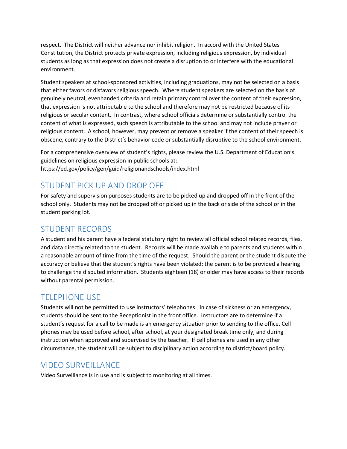respect. The District will neither advance nor inhibit religion. In accord with the United States Constitution, the District protects private expression, including religious expression, by individual students as long as that expression does not create a disruption to or interfere with the educational environment.

Student speakers at school-sponsored activities, including graduations, may not be selected on a basis that either favors or disfavors religious speech. Where student speakers are selected on the basis of genuinely neutral, evenhanded criteria and retain primary control over the content of their expression, that expression is not attributable to the school and therefore may not be restricted because of its religious or secular content. In contrast, where school officials determine or substantially control the content of what is expressed, such speech is attributable to the school and may not include prayer or religious content. A school, however, may prevent or remove a speaker if the content of their speech is obscene, contrary to the District's behavior code or substantially disruptive to the school environment.

For a comprehensive overview of student's rights, please review the U.S. Department of Education's guidelines on religious expression in public schools at: https://ed.gov/policy/gen/guid/religionandschools/index.html

# <span id="page-34-0"></span>STUDENT PICK UP AND DROP OFF

For safety and supervision purposes students are to be picked up and dropped off in the front of the school only. Students may not be dropped off or picked up in the back or side of the school or in the student parking lot.

# <span id="page-34-1"></span>STUDENT RECORDS

A student and his parent have a federal statutory right to review all official school related records, files, and data directly related to the student. Records will be made available to parents and students within a reasonable amount of time from the time of the request. Should the parent or the student dispute the accuracy or believe that the student's rights have been violated; the parent is to be provided a hearing to challenge the disputed information. Students eighteen (18) or older may have access to their records without parental permission.

# <span id="page-34-2"></span>TELEPHONE USE

Students will not be permitted to use instructors' telephones. In case of sickness or an emergency, students should be sent to the Receptionist in the front office. Instructors are to determine if a student's request for a call to be made is an emergency situation prior to sending to the office. Cell phones may be used before school, after school, at your designated break time only, and during instruction when approved and supervised by the teacher. If cell phones are used in any other circumstance, the student will be subject to disciplinary action according to district/board policy.

# <span id="page-34-3"></span>VIDEO SURVEILLANCE

Video Surveillance is in use and is subject to monitoring at all times.